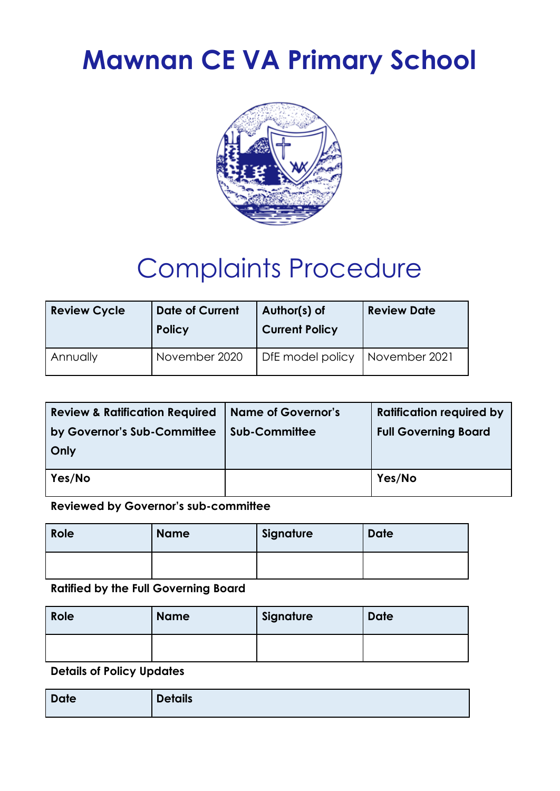# **Mawnan CE VA Primary School**



# Complaints Procedure

| <b>Review Cycle</b> | <b>Date of Current</b><br><b>Policy</b> | Author(s) of<br><b>Current Policy</b> | <b>Review Date</b> |
|---------------------|-----------------------------------------|---------------------------------------|--------------------|
| Annually            | November 2020                           | DfE model policy                      | November 2021      |

| <b>Review &amp; Ratification Required</b> | <b>Name of Governor's</b> | <b>Ratification required by</b> |
|-------------------------------------------|---------------------------|---------------------------------|
| by Governor's Sub-Committee               | <b>Sub-Committee</b>      | <b>Full Governing Board</b>     |
| Only                                      |                           |                                 |
| Yes/No                                    |                           | Yes/No                          |

**Reviewed by Governor's sub-committee**

| Role | <b>Name</b> | Signature | <b>Date</b> |
|------|-------------|-----------|-------------|
|      |             |           |             |

**Ratified by the Full Governing Board**

| Role | <b>Name</b> | Signature | <b>Date</b> |
|------|-------------|-----------|-------------|
|      |             |           |             |

**Details of Policy Updates**

| <b>Date</b> | <b>Details</b> |
|-------------|----------------|
|             |                |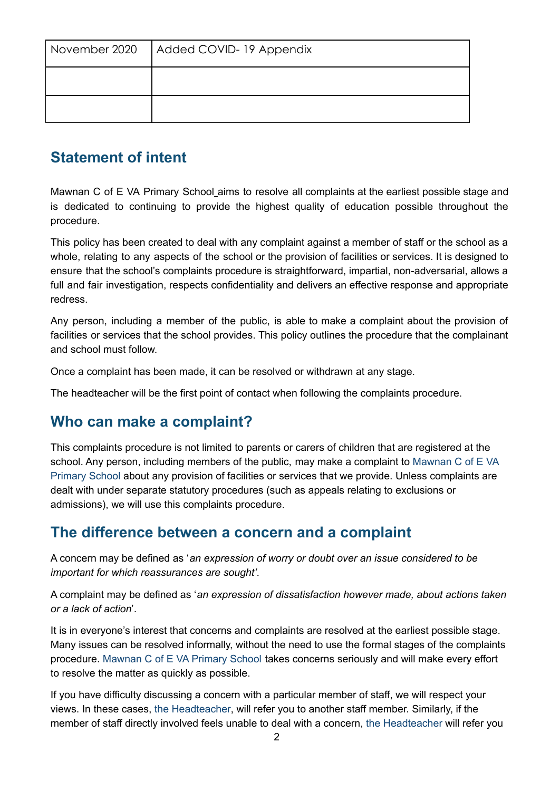| November 2020   Added COVID-19 Appendix |
|-----------------------------------------|
|                                         |
|                                         |

# **Statement of intent**

Mawnan C of E VA Primary School aims to resolve all complaints at the earliest possible stage and is dedicated to continuing to provide the highest quality of education possible throughout the procedure.

This policy has been created to deal with any complaint against a member of staff or the school as a whole, relating to any aspects of the school or the provision of facilities or services. It is designed to ensure that the school's complaints procedure is straightforward, impartial, non-adversarial, allows a full and fair investigation, respects confidentiality and delivers an effective response and appropriate redress.

Any person, including a member of the public, is able to make a complaint about the provision of facilities or services that the school provides. This policy outlines the procedure that the complainant and school must follow.

Once a complaint has been made, it can be resolved or withdrawn at any stage.

The headteacher will be the first point of contact when following the complaints procedure.

# **Who can make a complaint?**

This complaints procedure is not limited to parents or carers of children that are registered at the school. Any person, including members of the public, may make a complaint to Mawnan C of E VA Primary School about any provision of facilities or services that we provide. Unless complaints are dealt with under separate statutory procedures (such as appeals relating to exclusions or admissions), we will use this complaints procedure.

# **The difference between a concern and a complaint**

A concern may be defined as '*an expression of worry or doubt over an issue considered to be important for which reassurances are sought'*.

A complaint may be defined as '*an expression of dissatisfaction however made, about actions taken or a lack of action*'.

It is in everyone's interest that concerns and complaints are resolved at the earliest possible stage. Many issues can be resolved informally, without the need to use the formal stages of the complaints procedure. Mawnan C of E VA Primary School takes concerns seriously and will make every effort to resolve the matter as quickly as possible.

If you have difficulty discussing a concern with a particular member of staff, we will respect your views. In these cases, the Headteacher, will refer you to another staff member. Similarly, if the member of staff directly involved feels unable to deal with a concern, the Headteacher will refer you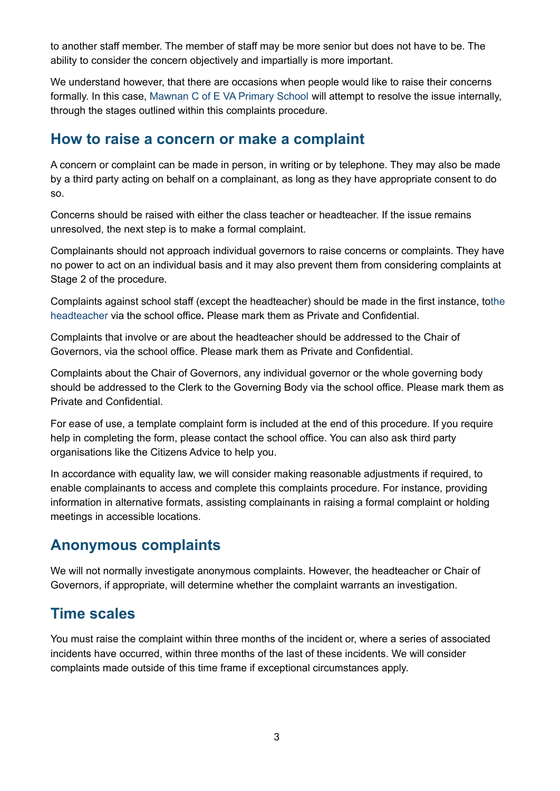to another staff member. The member of staff may be more senior but does not have to be. The ability to consider the concern objectively and impartially is more important.

We understand however, that there are occasions when people would like to raise their concerns formally. In this case, Mawnan C of E VA Primary School will attempt to resolve the issue internally, through the stages outlined within this complaints procedure.

### **How to raise a concern or make a complaint**

A concern or complaint can be made in person, in writing or by telephone. They may also be made by a third party acting on behalf on a complainant, as long as they have appropriate consent to do so.

Concerns should be raised with either the class teacher or headteacher. If the issue remains unresolved, the next step is to make a formal complaint.

Complainants should not approach individual governors to raise concerns or complaints. They have no power to act on an individual basis and it may also prevent them from considering complaints at Stage 2 of the procedure.

Complaints against school staff (except the headteacher) should be made in the first instance, tothe headteacher via the school office*.* Please mark them as Private and Confidential.

Complaints that involve or are about the headteacher should be addressed to the Chair of Governors, via the school office. Please mark them as Private and Confidential.

Complaints about the Chair of Governors, any individual governor or the whole governing body should be addressed to the Clerk to the Governing Body via the school office. Please mark them as Private and Confidential.

For ease of use, a template complaint form is included at the end of this procedure. If you require help in completing the form, please contact the school office. You can also ask third party organisations like the Citizens Advice to help you.

In accordance with equality law, we will consider making reasonable adjustments if required, to enable complainants to access and complete this complaints procedure. For instance, providing information in alternative formats, assisting complainants in raising a formal complaint or holding meetings in accessible locations.

# **Anonymous complaints**

We will not normally investigate anonymous complaints. However, the headteacher or Chair of Governors, if appropriate, will determine whether the complaint warrants an investigation.

# **Time scales**

You must raise the complaint within three months of the incident or, where a series of associated incidents have occurred, within three months of the last of these incidents. We will consider complaints made outside of this time frame if exceptional circumstances apply.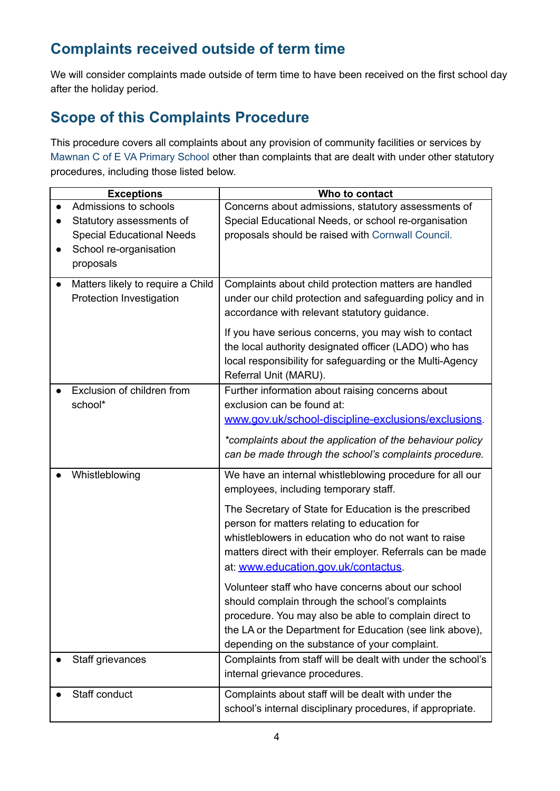# **Complaints received outside of term time**

We will consider complaints made outside of term time to have been received on the first school day after the holiday period.

# **Scope of this Complaints Procedure**

This procedure covers all complaints about any provision of community facilities or services by Mawnan C of E VA Primary School other than complaints that are dealt with under other statutory procedures, including those listed below.

| <b>Exceptions</b>                 | Who to contact                                              |
|-----------------------------------|-------------------------------------------------------------|
| Admissions to schools             | Concerns about admissions, statutory assessments of         |
| Statutory assessments of          | Special Educational Needs, or school re-organisation        |
| <b>Special Educational Needs</b>  | proposals should be raised with Cornwall Council.           |
| School re-organisation            |                                                             |
| proposals                         |                                                             |
| Matters likely to require a Child | Complaints about child protection matters are handled       |
| Protection Investigation          | under our child protection and safeguarding policy and in   |
|                                   | accordance with relevant statutory guidance.                |
|                                   | If you have serious concerns, you may wish to contact       |
|                                   | the local authority designated officer (LADO) who has       |
|                                   | local responsibility for safeguarding or the Multi-Agency   |
|                                   | Referral Unit (MARU).                                       |
| Exclusion of children from        | Further information about raising concerns about            |
| school*                           | exclusion can be found at:                                  |
|                                   | www.gov.uk/school-discipline-exclusions/exclusions.         |
|                                   | *complaints about the application of the behaviour policy   |
|                                   | can be made through the school's complaints procedure.      |
| Whistleblowing                    | We have an internal whistleblowing procedure for all our    |
|                                   | employees, including temporary staff.                       |
|                                   | The Secretary of State for Education is the prescribed      |
|                                   | person for matters relating to education for                |
|                                   | whistleblowers in education who do not want to raise        |
|                                   | matters direct with their employer. Referrals can be made   |
|                                   | at: www.education.gov.uk/contactus.                         |
|                                   | Volunteer staff who have concerns about our school          |
|                                   | should complain through the school's complaints             |
|                                   | procedure. You may also be able to complain direct to       |
|                                   | the LA or the Department for Education (see link above),    |
|                                   | depending on the substance of your complaint.               |
| Staff grievances                  | Complaints from staff will be dealt with under the school's |
|                                   | internal grievance procedures.                              |
| Staff conduct                     | Complaints about staff will be dealt with under the         |
|                                   | school's internal disciplinary procedures, if appropriate.  |
|                                   |                                                             |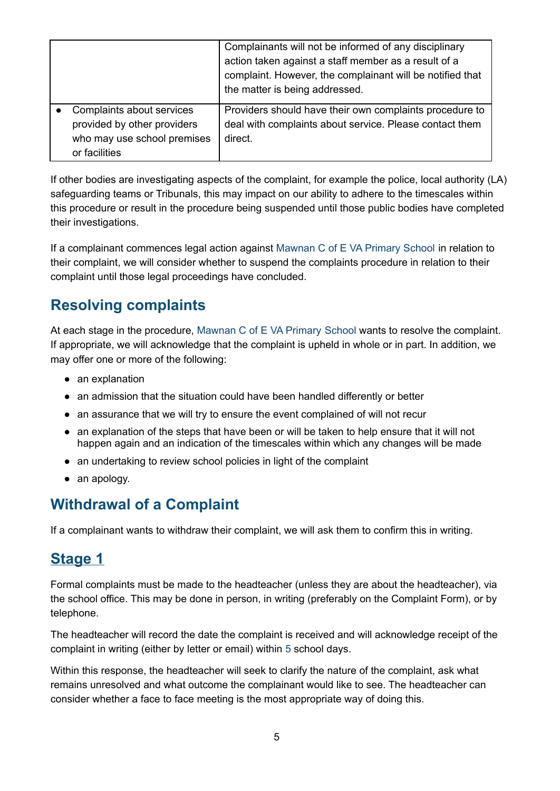|                                                          | Complainants will not be informed of any disciplinary<br>action taken against a staff member as a result of a<br>complaint. However, the complainant will be notified that<br>the matter is being addressed. |
|----------------------------------------------------------|--------------------------------------------------------------------------------------------------------------------------------------------------------------------------------------------------------------|
| Complaints about services<br>provided by other providers | Providers should have their own complaints procedure to<br>deal with complaints about service. Please contact them                                                                                           |
| who may use school premises                              | direct.                                                                                                                                                                                                      |
| or facilities                                            |                                                                                                                                                                                                              |

If other bodies are investigating aspects of the complaint, for example the police, local authority (LA) safeguarding teams or Tribunals, this may impact on our ability to adhere to the timescales within this procedure or result in the procedure being suspended until those public bodies have completed their investigations.

If a complainant commences legal action against Mawnan C of E VA Primary School in relation to their complaint, we will consider whether to suspend the complaints procedure in relation to their complaint until those legal proceedings have concluded.

# **Resolving complaints**

At each stage in the procedure, Mawnan C of E VA Primary School wants to resolve the complaint. If appropriate, we will acknowledge that the complaint is upheld in whole or in part. In addition, we may offer one or more of the following:

- an explanation
- an admission that the situation could have been handled differently or better
- an assurance that we will try to ensure the event complained of will not recur
- an explanation of the steps that have been or will be taken to help ensure that it will not happen again and an indication of the timescales within which any changes will be made
- an undertaking to review school policies in light of the complaint
- an apology.

# **Withdrawal of a Complaint**

If a complainant wants to withdraw their complaint, we will ask them to confirm this in writing.

# **Stage 1**

Formal complaints must be made to the headteacher (unless they are about the headteacher), via the school office. This may be done in person, in writing (preferably on the Complaint Form), or by telephone.

The headteacher will record the date the complaint is received and will acknowledge receipt of the complaint in writing (either by letter or email) within 5 school days.

Within this response, the headteacher will seek to clarify the nature of the complaint, ask what remains unresolved and what outcome the complainant would like to see. The headteacher can consider whether a face to face meeting is the most appropriate way of doing this.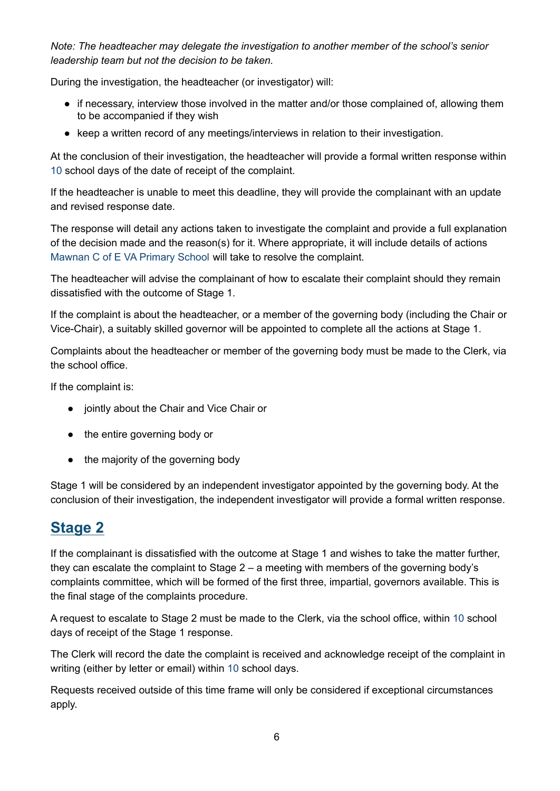*Note: The headteacher may delegate the investigation to another member of the school's senior leadership team but not the decision to be taken.*

During the investigation, the headteacher (or investigator) will:

- if necessary, interview those involved in the matter and/or those complained of, allowing them to be accompanied if they wish
- keep a written record of any meetings/interviews in relation to their investigation.

At the conclusion of their investigation, the headteacher will provide a formal written response within 10 school days of the date of receipt of the complaint.

If the headteacher is unable to meet this deadline, they will provide the complainant with an update and revised response date.

The response will detail any actions taken to investigate the complaint and provide a full explanation of the decision made and the reason(s) for it. Where appropriate, it will include details of actions Mawnan C of E VA Primary School will take to resolve the complaint.

The headteacher will advise the complainant of how to escalate their complaint should they remain dissatisfied with the outcome of Stage 1.

If the complaint is about the headteacher, or a member of the governing body (including the Chair or Vice-Chair), a suitably skilled governor will be appointed to complete all the actions at Stage 1.

Complaints about the headteacher or member of the governing body must be made to the Clerk, via the school office.

If the complaint is:

- jointly about the Chair and Vice Chair or
- the entire governing body or
- the majority of the governing body

Stage 1 will be considered by an independent investigator appointed by the governing body. At the conclusion of their investigation, the independent investigator will provide a formal written response.

# **Stage 2**

If the complainant is dissatisfied with the outcome at Stage 1 and wishes to take the matter further, they can escalate the complaint to Stage 2 – a meeting with members of the governing body's complaints committee, which will be formed of the first three, impartial, governors available. This is the final stage of the complaints procedure.

A request to escalate to Stage 2 must be made to the Clerk, via the school office, within 10 school days of receipt of the Stage 1 response.

The Clerk will record the date the complaint is received and acknowledge receipt of the complaint in writing (either by letter or email) within 10 school days.

Requests received outside of this time frame will only be considered if exceptional circumstances apply.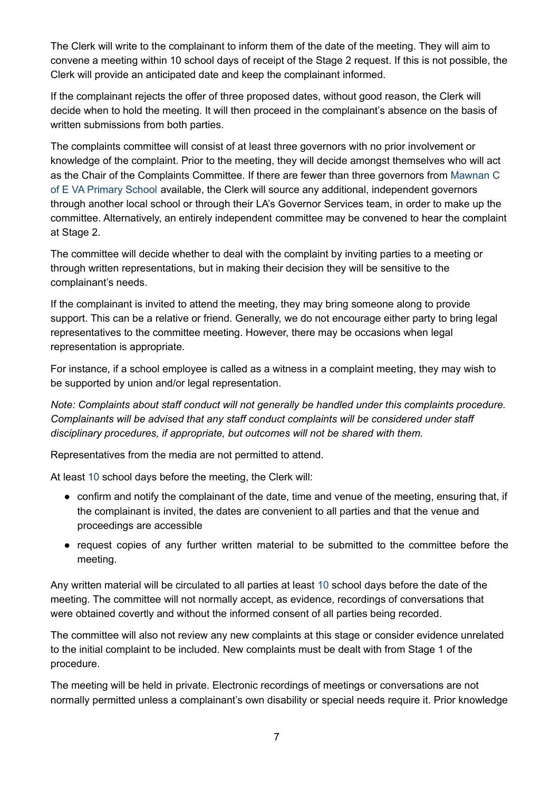The Clerk will write to the complainant to inform them of the date of the meeting. They will aim to convene a meeting within 10 school days of receipt of the Stage 2 request. If this is not possible, the Clerk will provide an anticipated date and keep the complainant informed.

If the complainant rejects the offer of three proposed dates, without good reason, the Clerk will decide when to hold the meeting. It will then proceed in the complainant's absence on the basis of written submissions from both parties.

The complaints committee will consist of at least three governors with no prior involvement or knowledge of the complaint. Prior to the meeting, they will decide amongst themselves who will act as the Chair of the Complaints Committee. If there are fewer than three governors from Mawnan C of E VA Primary School available, the Clerk will source any additional, independent governors through another local school or through their LA's Governor Services team, in order to make up the committee. Alternatively, an entirely independent committee may be convened to hear the complaint at Stage 2.

The committee will decide whether to deal with the complaint by inviting parties to a meeting or through written representations, but in making their decision they will be sensitive to the complainant's needs.

If the complainant is invited to attend the meeting, they may bring someone along to provide support. This can be a relative or friend. Generally, we do not encourage either party to bring legal representatives to the committee meeting. However, there may be occasions when legal representation is appropriate.

For instance, if a school employee is called as a witness in a complaint meeting, they may wish to be supported by union and/or legal representation.

*Note: Complaints about staff conduct will not generally be handled under this complaints procedure. Complainants will be advised that any staff conduct complaints will be considered under staff disciplinary procedures, if appropriate, but outcomes will not be shared with them.*

Representatives from the media are not permitted to attend.

At least 10 school days before the meeting, the Clerk will:

- confirm and notify the complainant of the date, time and venue of the meeting, ensuring that, if the complainant is invited, the dates are convenient to all parties and that the venue and proceedings are accessible
- request copies of any further written material to be submitted to the committee before the meeting.

Any written material will be circulated to all parties at least 10 school days before the date of the meeting. The committee will not normally accept, as evidence, recordings of conversations that were obtained covertly and without the informed consent of all parties being recorded.

The committee will also not review any new complaints at this stage or consider evidence unrelated to the initial complaint to be included. New complaints must be dealt with from Stage 1 of the procedure.

The meeting will be held in private. Electronic recordings of meetings or conversations are not normally permitted unless a complainant's own disability or special needs require it. Prior knowledge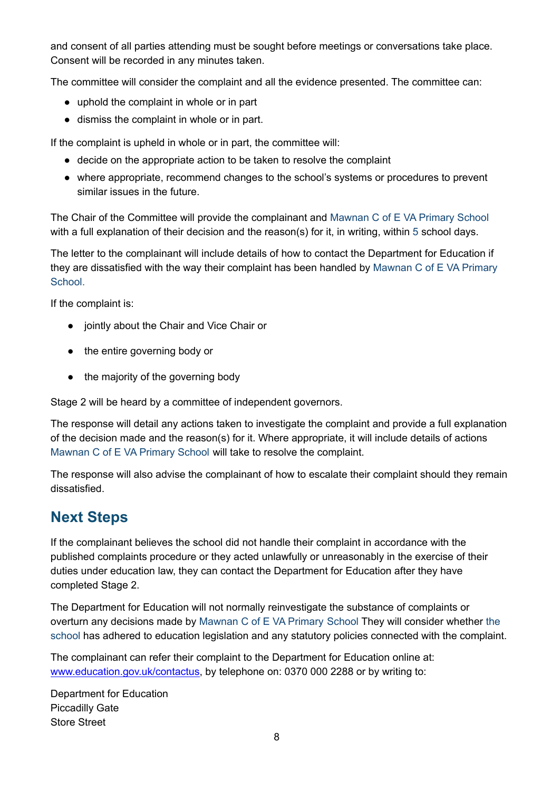and consent of all parties attending must be sought before meetings or conversations take place. Consent will be recorded in any minutes taken.

The committee will consider the complaint and all the evidence presented. The committee can:

- uphold the complaint in whole or in part
- dismiss the complaint in whole or in part.

If the complaint is upheld in whole or in part, the committee will:

- decide on the appropriate action to be taken to resolve the complaint
- where appropriate, recommend changes to the school's systems or procedures to prevent similar issues in the future.

The Chair of the Committee will provide the complainant and Mawnan C of E VA Primary School with a full explanation of their decision and the reason(s) for it, in writing, within 5 school days.

The letter to the complainant will include details of how to contact the Department for Education if they are dissatisfied with the way their complaint has been handled by Mawnan C of E VA Primary School.

If the complaint is:

- jointly about the Chair and Vice Chair or
- the entire governing body or
- the majority of the governing body

Stage 2 will be heard by a committee of independent governors.

The response will detail any actions taken to investigate the complaint and provide a full explanation of the decision made and the reason(s) for it. Where appropriate, it will include details of actions Mawnan C of E VA Primary School will take to resolve the complaint.

The response will also advise the complainant of how to escalate their complaint should they remain dissatisfied.

# **Next Steps**

If the complainant believes the school did not handle their complaint in accordance with the published complaints procedure or they acted unlawfully or unreasonably in the exercise of their duties under education law, they can contact the Department for Education after they have completed Stage 2.

The Department for Education will not normally reinvestigate the substance of complaints or overturn any decisions made by Mawnan C of E VA Primary School They will consider whether the school has adhered to education legislation and any statutory policies connected with the complaint.

The complainant can refer their complaint to the Department for Education online at: [www.education.gov.uk/contactus,](http://www.education.gov.uk/contactus) by telephone on: 0370 000 2288 or by writing to:

Department for Education Piccadilly Gate Store Street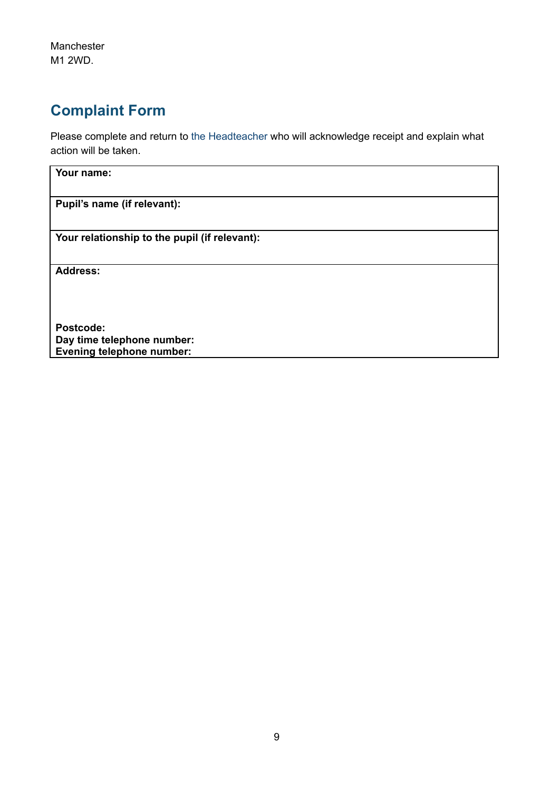Manchester M1 2WD.

# **Complaint Form**

**Evening telephone number:**

Please complete and return to the Headteacher who will acknowledge receipt and explain what action will be taken.

| Your name:                                    |  |
|-----------------------------------------------|--|
| Pupil's name (if relevant):                   |  |
|                                               |  |
| Your relationship to the pupil (if relevant): |  |
| <b>Address:</b>                               |  |
|                                               |  |
| Postcode:                                     |  |
| Day time telephone number:                    |  |

9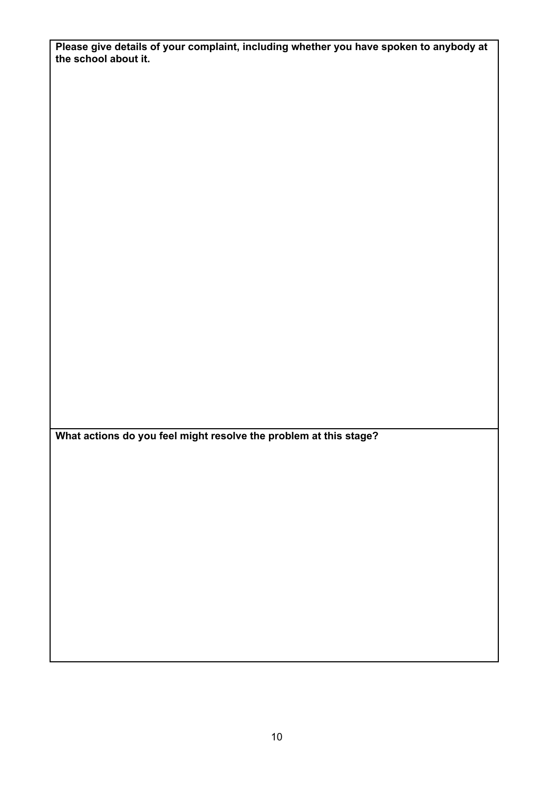**Please give details of your complaint, including whether you have spoken to anybody at the school about it.**

**What actions do you feel might resolve the problem at this stage?**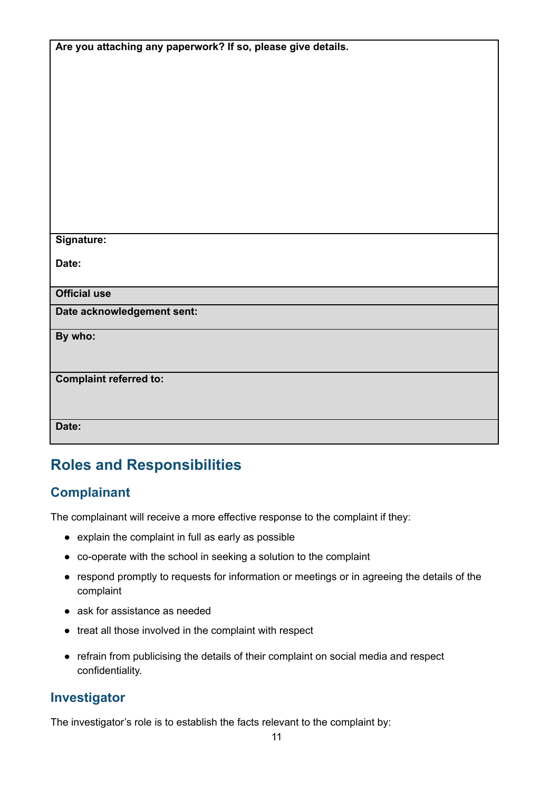| Are you attaching any paperwork? If so, please give details. |
|--------------------------------------------------------------|
|                                                              |
|                                                              |
|                                                              |
|                                                              |
|                                                              |
|                                                              |
|                                                              |
|                                                              |
|                                                              |
|                                                              |
|                                                              |
|                                                              |
| Signature:                                                   |
|                                                              |
| Date:                                                        |
|                                                              |
| <b>Official use</b>                                          |
| Date acknowledgement sent:                                   |
|                                                              |
| By who:                                                      |
|                                                              |
|                                                              |
| <b>Complaint referred to:</b>                                |
|                                                              |
|                                                              |
| Date:                                                        |
|                                                              |

# **Roles and Responsibilities**

### **Complainant**

The complainant will receive a more effective response to the complaint if they:

- explain the complaint in full as early as possible
- co-operate with the school in seeking a solution to the complaint
- respond promptly to requests for information or meetings or in agreeing the details of the complaint
- ask for assistance as needed
- treat all those involved in the complaint with respect
- refrain from publicising the details of their complaint on social media and respect confidentiality.

#### **Investigator**

The investigator's role is to establish the facts relevant to the complaint by: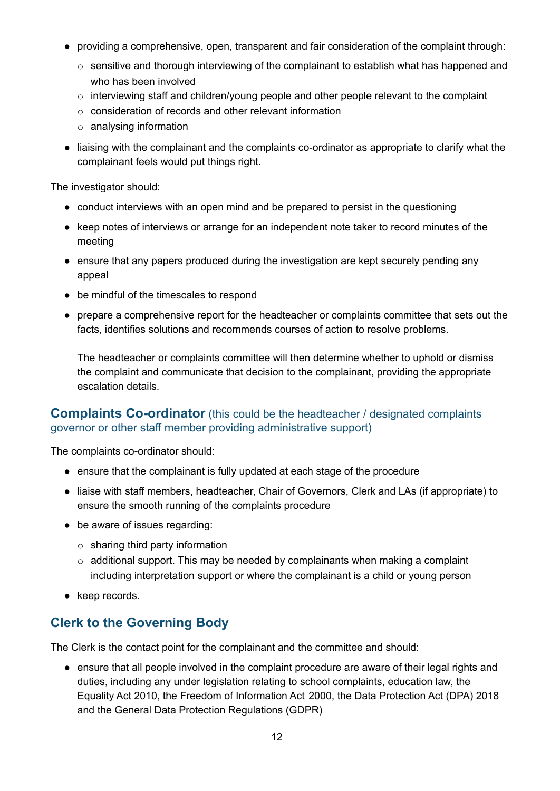- providing a comprehensive, open, transparent and fair consideration of the complaint through:
	- o sensitive and thorough interviewing of the complainant to establish what has happened and who has been involved
	- o interviewing staff and children/young people and other people relevant to the complaint
	- o consideration of records and other relevant information
	- o analysing information
- liaising with the complainant and the complaints co-ordinator as appropriate to clarify what the complainant feels would put things right.

The investigator should:

- conduct interviews with an open mind and be prepared to persist in the questioning
- keep notes of interviews or arrange for an independent note taker to record minutes of the meeting
- ensure that any papers produced during the investigation are kept securely pending any appeal
- be mindful of the timescales to respond
- prepare a comprehensive report for the headteacher or complaints committee that sets out the facts, identifies solutions and recommends courses of action to resolve problems.

The headteacher or complaints committee will then determine whether to uphold or dismiss the complaint and communicate that decision to the complainant, providing the appropriate escalation details.

#### **Complaints Co-ordinator** (this could be the headteacher / designated complaints governor or other staff member providing administrative support)

The complaints co-ordinator should:

- ensure that the complainant is fully updated at each stage of the procedure
- liaise with staff members, headteacher, Chair of Governors, Clerk and LAs (if appropriate) to ensure the smooth running of the complaints procedure
- be aware of issues regarding:
	- $\circ$  sharing third party information
	- $\circ$  additional support. This may be needed by complainants when making a complaint including interpretation support or where the complainant is a child or young person
- keep records.

#### **Clerk to the Governing Body**

The Clerk is the contact point for the complainant and the committee and should:

● ensure that all people involved in the complaint procedure are aware of their legal rights and duties, including any under legislation relating to school complaints, education law, the Equality Act 2010, the Freedom of Information Act 2000, the Data Protection Act (DPA) 2018 and the General Data Protection Regulations (GDPR)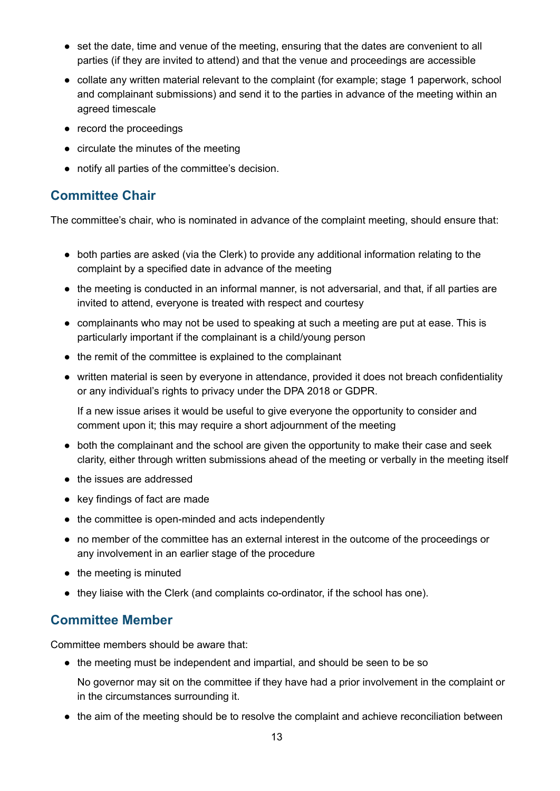- set the date, time and venue of the meeting, ensuring that the dates are convenient to all parties (if they are invited to attend) and that the venue and proceedings are accessible
- collate any written material relevant to the complaint (for example; stage 1 paperwork, school and complainant submissions) and send it to the parties in advance of the meeting within an agreed timescale
- record the proceedings
- circulate the minutes of the meeting
- notify all parties of the committee's decision.

#### **Committee Chair**

The committee's chair, who is nominated in advance of the complaint meeting, should ensure that:

- both parties are asked (via the Clerk) to provide any additional information relating to the complaint by a specified date in advance of the meeting
- the meeting is conducted in an informal manner, is not adversarial, and that, if all parties are invited to attend, everyone is treated with respect and courtesy
- complainants who may not be used to speaking at such a meeting are put at ease. This is particularly important if the complainant is a child/young person
- the remit of the committee is explained to the complainant
- written material is seen by everyone in attendance, provided it does not breach confidentiality or any individual's rights to privacy under the DPA 2018 or GDPR.

If a new issue arises it would be useful to give everyone the opportunity to consider and comment upon it; this may require a short adjournment of the meeting

- both the complainant and the school are given the opportunity to make their case and seek clarity, either through written submissions ahead of the meeting or verbally in the meeting itself
- the issues are addressed
- key findings of fact are made
- the committee is open-minded and acts independently
- no member of the committee has an external interest in the outcome of the proceedings or any involvement in an earlier stage of the procedure
- the meeting is minuted
- they liaise with the Clerk (and complaints co-ordinator, if the school has one).

#### **Committee Member**

Committee members should be aware that:

● the meeting must be independent and impartial, and should be seen to be so

No governor may sit on the committee if they have had a prior involvement in the complaint or in the circumstances surrounding it.

● the aim of the meeting should be to resolve the complaint and achieve reconciliation between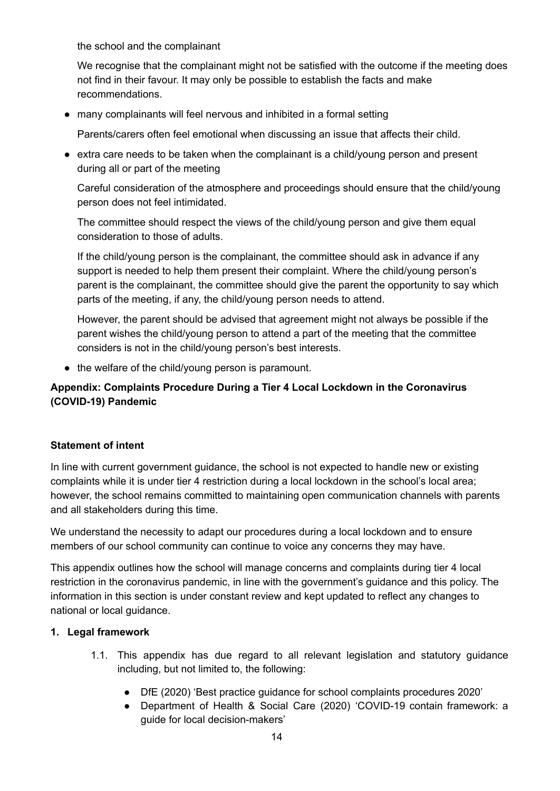the school and the complainant

We recognise that the complainant might not be satisfied with the outcome if the meeting does not find in their favour. It may only be possible to establish the facts and make recommendations.

● many complainants will feel nervous and inhibited in a formal setting

Parents/carers often feel emotional when discussing an issue that affects their child.

● extra care needs to be taken when the complainant is a child/young person and present during all or part of the meeting

Careful consideration of the atmosphere and proceedings should ensure that the child/young person does not feel intimidated.

The committee should respect the views of the child/young person and give them equal consideration to those of adults.

If the child/young person is the complainant, the committee should ask in advance if any support is needed to help them present their complaint. Where the child/young person's parent is the complainant, the committee should give the parent the opportunity to say which parts of the meeting, if any, the child/young person needs to attend.

However, the parent should be advised that agreement might not always be possible if the parent wishes the child/young person to attend a part of the meeting that the committee considers is not in the child/young person's best interests.

• the welfare of the child/young person is paramount.

#### **Appendix: Complaints Procedure During a Tier 4 Local Lockdown in the Coronavirus (COVID-19) Pandemic**

#### **Statement of intent**

In line with current government guidance, the school is not expected to handle new or existing complaints while it is under tier 4 restriction during a local lockdown in the school's local area; however, the school remains committed to maintaining open communication channels with parents and all stakeholders during this time.

We understand the necessity to adapt our procedures during a local lockdown and to ensure members of our school community can continue to voice any concerns they may have.

This appendix outlines how the school will manage concerns and complaints during tier 4 local restriction in the coronavirus pandemic, in line with the government's guidance and this policy. The information in this section is under constant review and kept updated to reflect any changes to national or local guidance.

#### **1. Legal framework**

- 1.1. This appendix has due regard to all relevant legislation and statutory guidance including, but not limited to, the following:
	- DfE (2020) 'Best practice guidance for school complaints procedures 2020'
	- Department of Health & Social Care (2020) 'COVID-19 contain framework: a guide for local decision-makers'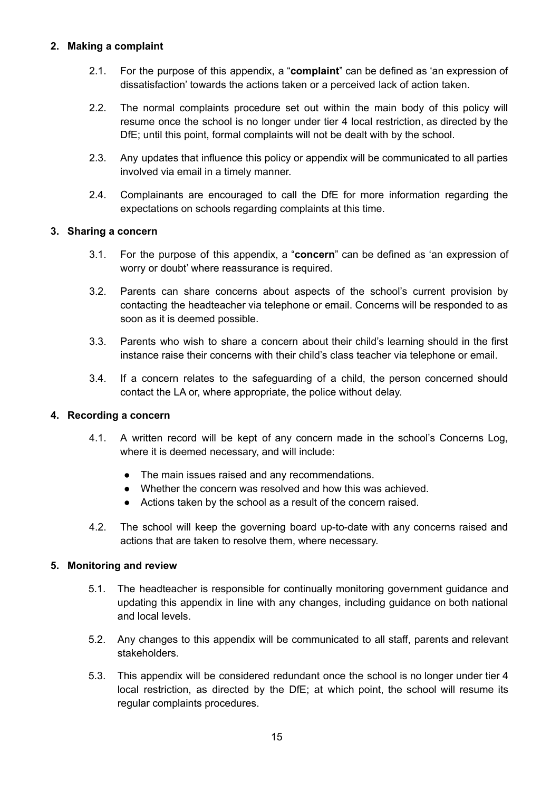#### **2. Making a complaint**

- 2.1. For the purpose of this appendix, a "**complaint**" can be defined as 'an expression of dissatisfaction' towards the actions taken or a perceived lack of action taken.
- 2.2. The normal complaints procedure set out within the main body of this policy will resume once the school is no longer under tier 4 local restriction, as directed by the DfE; until this point, formal complaints will not be dealt with by the school.
- 2.3. Any updates that influence this policy or appendix will be communicated to all parties involved via email in a timely manner.
- 2.4. Complainants are encouraged to call the DfE for more information regarding the expectations on schools regarding complaints at this time.

#### **3. Sharing a concern**

- 3.1. For the purpose of this appendix, a "**concern**" can be defined as 'an expression of worry or doubt' where reassurance is required.
- 3.2. Parents can share concerns about aspects of the school's current provision by contacting the headteacher via telephone or email. Concerns will be responded to as soon as it is deemed possible.
- 3.3. Parents who wish to share a concern about their child's learning should in the first instance raise their concerns with their child's class teacher via telephone or email.
- 3.4. If a concern relates to the safeguarding of a child, the person concerned should contact the LA or, where appropriate, the police without delay.

#### **4. Recording a concern**

- 4.1. A written record will be kept of any concern made in the school's Concerns Log, where it is deemed necessary, and will include:
	- The main issues raised and any recommendations.
	- Whether the concern was resolved and how this was achieved.
	- Actions taken by the school as a result of the concern raised.
- 4.2. The school will keep the governing board up-to-date with any concerns raised and actions that are taken to resolve them, where necessary.

#### **5. Monitoring and review**

- 5.1. The headteacher is responsible for continually monitoring government guidance and updating this appendix in line with any changes, including guidance on both national and local levels.
- 5.2. Any changes to this appendix will be communicated to all staff, parents and relevant stakeholders.
- 5.3. This appendix will be considered redundant once the school is no longer under tier 4 local restriction, as directed by the DfE; at which point, the school will resume its regular complaints procedures.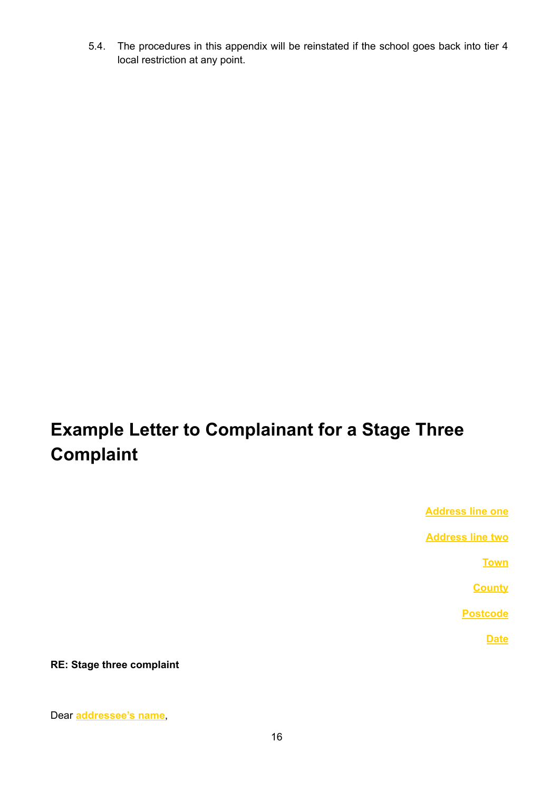5.4. The procedures in this appendix will be reinstated if the school goes back into tier 4 local restriction at any point.

# **Example Letter to Complainant for a Stage Three Complaint**

**Address line one**

**Address line two**

**Town**

**County**

**Postcode**

**Date**

**RE: Stage three complaint**

#### Dear **addressee's name**,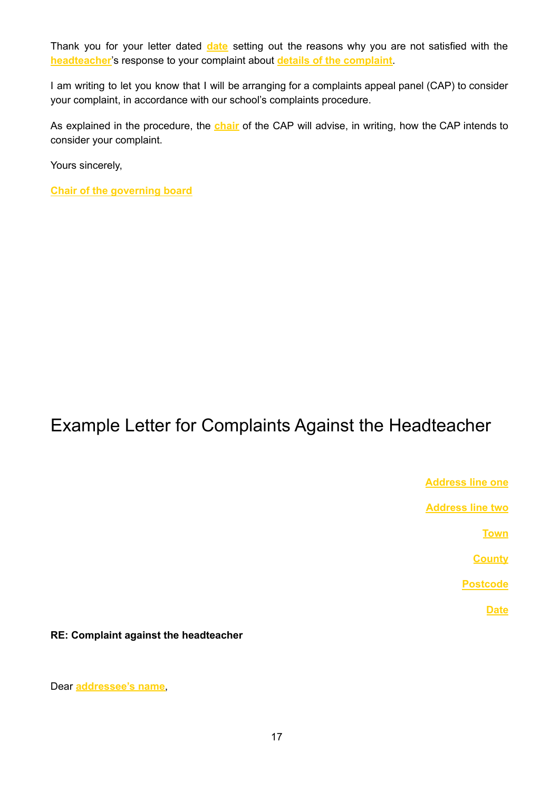Thank you for your letter dated **date** setting out the reasons why you are not satisfied with the **headteacher**'s response to your complaint about **details of the complaint**.

I am writing to let you know that I will be arranging for a complaints appeal panel (CAP) to consider your complaint, in accordance with our school's complaints procedure.

As explained in the procedure, the **chair** of the CAP will advise, in writing, how the CAP intends to consider your complaint.

Yours sincerely,

**Chair of the governing board**

# Example Letter for Complaints Against the Headteacher

**Address line one**

**Address line two**

**Town**

**County**

**Postcode**

**Date**

**RE: Complaint against the headteacher**

Dear **addressee's name**,